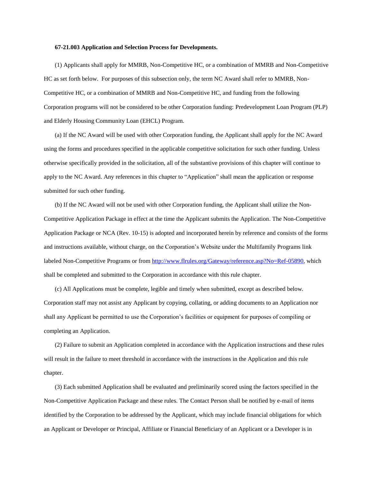## **67-21.003 Application and Selection Process for Developments.**

(1) Applicants shall apply for MMRB, Non-Competitive HC, or a combination of MMRB and Non-Competitive HC as set forth below. For purposes of this subsection only, the term NC Award shall refer to MMRB, Non-Competitive HC, or a combination of MMRB and Non-Competitive HC, and funding from the following Corporation programs will not be considered to be other Corporation funding: Predevelopment Loan Program (PLP) and Elderly Housing Community Loan (EHCL) Program.

(a) If the NC Award will be used with other Corporation funding, the Applicant shall apply for the NC Award using the forms and procedures specified in the applicable competitive solicitation for such other funding. Unless otherwise specifically provided in the solicitation, all of the substantive provisions of this chapter will continue to apply to the NC Award. Any references in this chapter to "Application" shall mean the application or response submitted for such other funding.

(b) If the NC Award will not be used with other Corporation funding, the Applicant shall utilize the Non-Competitive Application Package in effect at the time the Applicant submits the Application. The Non-Competitive Application Package or [NCA \(Rev. 10-15\)](http://www.flrules.org/Gateway/reference.asp?No=Ref-02846) is adopted and incorporated herein by reference and consists of the forms and instructions available, without charge, on the Corporation's Website under the Multifamily Programs link labeled Non-Competitive Programs or fro[m http://www.flrules.org/Gateway/reference.asp?No=Ref-05890,](http://www.flrules.org/Gateway/reference.asp?No=Ref-05890) which shall be completed and submitted to the Corporation in accordance with this rule chapter.

(c) All Applications must be complete, legible and timely when submitted, except as described below. Corporation staff may not assist any Applicant by copying, collating, or adding documents to an Application nor shall any Applicant be permitted to use the Corporation's facilities or equipment for purposes of compiling or completing an Application.

(2) Failure to submit an Application completed in accordance with the Application instructions and these rules will result in the failure to meet threshold in accordance with the instructions in the Application and this rule chapter.

(3) Each submitted Application shall be evaluated and preliminarily scored using the factors specified in the Non-Competitive Application Package and these rules. The Contact Person shall be notified by e-mail of items identified by the Corporation to be addressed by the Applicant, which may include financial obligations for which an Applicant or Developer or Principal, Affiliate or Financial Beneficiary of an Applicant or a Developer is in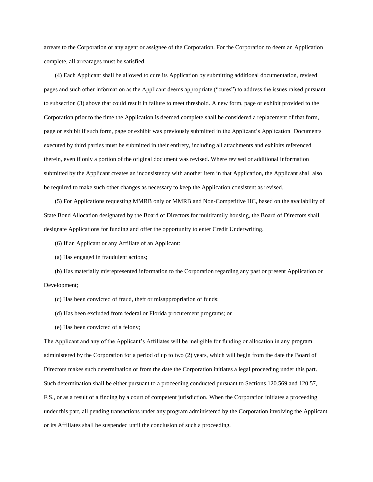arrears to the Corporation or any agent or assignee of the Corporation. For the Corporation to deem an Application complete, all arrearages must be satisfied.

(4) Each Applicant shall be allowed to cure its Application by submitting additional documentation, revised pages and such other information as the Applicant deems appropriate ("cures") to address the issues raised pursuant to subsection (3) above that could result in failure to meet threshold. A new form, page or exhibit provided to the Corporation prior to the time the Application is deemed complete shall be considered a replacement of that form, page or exhibit if such form, page or exhibit was previously submitted in the Applicant's Application. Documents executed by third parties must be submitted in their entirety, including all attachments and exhibits referenced therein, even if only a portion of the original document was revised. Where revised or additional information submitted by the Applicant creates an inconsistency with another item in that Application, the Applicant shall also be required to make such other changes as necessary to keep the Application consistent as revised.

(5) For Applications requesting MMRB only or MMRB and Non-Competitive HC, based on the availability of State Bond Allocation designated by the Board of Directors for multifamily housing, the Board of Directors shall designate Applications for funding and offer the opportunity to enter Credit Underwriting.

(6) If an Applicant or any Affiliate of an Applicant:

(a) Has engaged in fraudulent actions;

(b) Has materially misrepresented information to the Corporation regarding any past or present Application or Development;

- (c) Has been convicted of fraud, theft or misappropriation of funds;
- (d) Has been excluded from federal or Florida procurement programs; or
- (e) Has been convicted of a felony;

The Applicant and any of the Applicant's Affiliates will be ineligible for funding or allocation in any program administered by the Corporation for a period of up to two (2) years, which will begin from the date the Board of Directors makes such determination or from the date the Corporation initiates a legal proceeding under this part. Such determination shall be either pursuant to a proceeding conducted pursuant to Sections 120.569 and 120.57, F.S., or as a result of a finding by a court of competent jurisdiction. When the Corporation initiates a proceeding under this part, all pending transactions under any program administered by the Corporation involving the Applicant or its Affiliates shall be suspended until the conclusion of such a proceeding.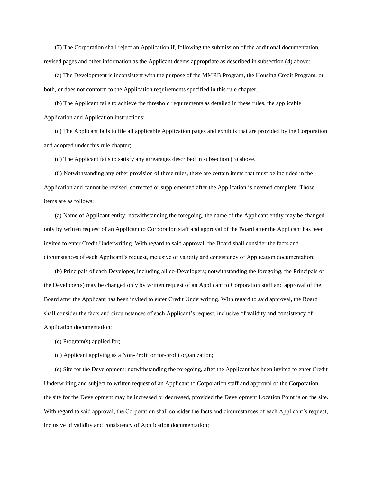(7) The Corporation shall reject an Application if, following the submission of the additional documentation, revised pages and other information as the Applicant deems appropriate as described in subsection (4) above:

(a) The Development is inconsistent with the purpose of the MMRB Program, the Housing Credit Program, or both, or does not conform to the Application requirements specified in this rule chapter;

(b) The Applicant fails to achieve the threshold requirements as detailed in these rules, the applicable Application and Application instructions;

(c) The Applicant fails to file all applicable Application pages and exhibits that are provided by the Corporation and adopted under this rule chapter;

(d) The Applicant fails to satisfy any arrearages described in subsection (3) above.

(8) Notwithstanding any other provision of these rules, there are certain items that must be included in the Application and cannot be revised, corrected or supplemented after the Application is deemed complete. Those items are as follows:

(a) Name of Applicant entity; notwithstanding the foregoing, the name of the Applicant entity may be changed only by written request of an Applicant to Corporation staff and approval of the Board after the Applicant has been invited to enter Credit Underwriting. With regard to said approval, the Board shall consider the facts and circumstances of each Applicant's request, inclusive of validity and consistency of Application documentation;

(b) Principals of each Developer, including all co-Developers; notwithstanding the foregoing, the Principals of the Developer(s) may be changed only by written request of an Applicant to Corporation staff and approval of the Board after the Applicant has been invited to enter Credit Underwriting. With regard to said approval, the Board shall consider the facts and circumstances of each Applicant's request, inclusive of validity and consistency of Application documentation;

- (c) Program(s) applied for;
- (d) Applicant applying as a Non-Profit or for-profit organization;

(e) Site for the Development; notwithstanding the foregoing, after the Applicant has been invited to enter Credit Underwriting and subject to written request of an Applicant to Corporation staff and approval of the Corporation, the site for the Development may be increased or decreased, provided the Development Location Point is on the site. With regard to said approval, the Corporation shall consider the facts and circumstances of each Applicant's request, inclusive of validity and consistency of Application documentation;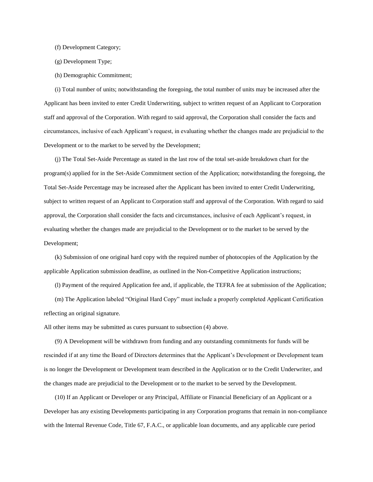(f) Development Category;

(g) Development Type;

(h) Demographic Commitment;

(i) Total number of units; notwithstanding the foregoing, the total number of units may be increased after the Applicant has been invited to enter Credit Underwriting, subject to written request of an Applicant to Corporation staff and approval of the Corporation. With regard to said approval, the Corporation shall consider the facts and circumstances, inclusive of each Applicant's request, in evaluating whether the changes made are prejudicial to the Development or to the market to be served by the Development;

(j) The Total Set-Aside Percentage as stated in the last row of the total set-aside breakdown chart for the program(s) applied for in the Set-Aside Commitment section of the Application; notwithstanding the foregoing, the Total Set-Aside Percentage may be increased after the Applicant has been invited to enter Credit Underwriting, subject to written request of an Applicant to Corporation staff and approval of the Corporation. With regard to said approval, the Corporation shall consider the facts and circumstances, inclusive of each Applicant's request, in evaluating whether the changes made are prejudicial to the Development or to the market to be served by the Development;

(k) Submission of one original hard copy with the required number of photocopies of the Application by the applicable Application submission deadline, as outlined in the Non-Competitive Application instructions;

(l) Payment of the required Application fee and, if applicable, the TEFRA fee at submission of the Application;

(m) The Application labeled "Original Hard Copy" must include a properly completed Applicant Certification reflecting an original signature.

All other items may be submitted as cures pursuant to subsection (4) above.

(9) A Development will be withdrawn from funding and any outstanding commitments for funds will be rescinded if at any time the Board of Directors determines that the Applicant's Development or Development team is no longer the Development or Development team described in the Application or to the Credit Underwriter, and the changes made are prejudicial to the Development or to the market to be served by the Development.

(10) If an Applicant or Developer or any Principal, Affiliate or Financial Beneficiary of an Applicant or a Developer has any existing Developments participating in any Corporation programs that remain in non-compliance with the Internal Revenue Code, Title 67, F.A.C., or applicable loan documents, and any applicable cure period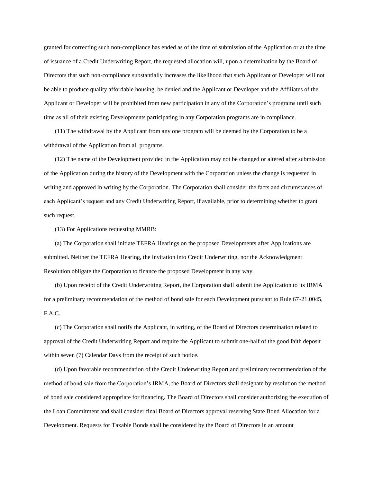granted for correcting such non-compliance has ended as of the time of submission of the Application or at the time of issuance of a Credit Underwriting Report, the requested allocation will, upon a determination by the Board of Directors that such non-compliance substantially increases the likelihood that such Applicant or Developer will not be able to produce quality affordable housing, be denied and the Applicant or Developer and the Affiliates of the Applicant or Developer will be prohibited from new participation in any of the Corporation's programs until such time as all of their existing Developments participating in any Corporation programs are in compliance.

(11) The withdrawal by the Applicant from any one program will be deemed by the Corporation to be a withdrawal of the Application from all programs.

(12) The name of the Development provided in the Application may not be changed or altered after submission of the Application during the history of the Development with the Corporation unless the change is requested in writing and approved in writing by the Corporation. The Corporation shall consider the facts and circumstances of each Applicant's request and any Credit Underwriting Report, if available, prior to determining whether to grant such request.

(13) For Applications requesting MMRB:

(a) The Corporation shall initiate TEFRA Hearings on the proposed Developments after Applications are submitted. Neither the TEFRA Hearing, the invitation into Credit Underwriting, nor the Acknowledgment Resolution obligate the Corporation to finance the proposed Development in any way.

(b) Upon receipt of the Credit Underwriting Report, the Corporation shall submit the Application to its IRMA for a preliminary recommendation of the method of bond sale for each Development pursuant to Rule 67-21.0045, F.A.C.

(c) The Corporation shall notify the Applicant, in writing, of the Board of Directors determination related to approval of the Credit Underwriting Report and require the Applicant to submit one-half of the good faith deposit within seven (7) Calendar Days from the receipt of such notice.

(d) Upon favorable recommendation of the Credit Underwriting Report and preliminary recommendation of the method of bond sale from the Corporation's IRMA, the Board of Directors shall designate by resolution the method of bond sale considered appropriate for financing. The Board of Directors shall consider authorizing the execution of the Loan Commitment and shall consider final Board of Directors approval reserving State Bond Allocation for a Development. Requests for Taxable Bonds shall be considered by the Board of Directors in an amount